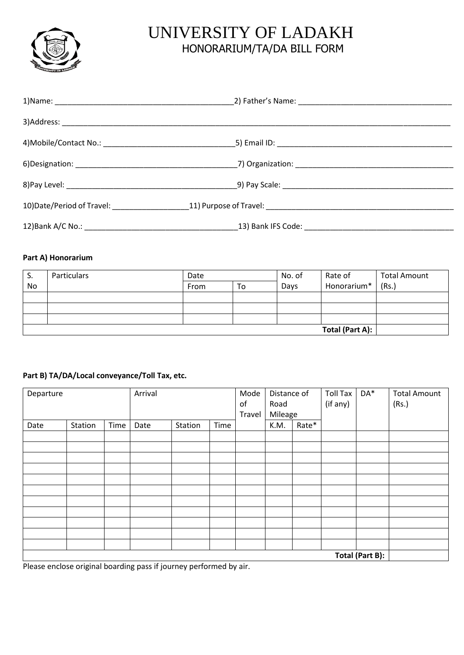

## UNIVERSITY OF LADAKH HONORARIUM/TA/DA BILL FORM

## **Part A) Honorarium**

| - S.            | Particulars | Date       |  | No. of | Rate of     | <b>Total Amount</b> |
|-----------------|-------------|------------|--|--------|-------------|---------------------|
| No              |             | From<br>To |  | Days   | Honorarium* | (Rs.)               |
|                 |             |            |  |        |             |                     |
|                 |             |            |  |        |             |                     |
|                 |             |            |  |        |             |                     |
| Total (Part A): |             |            |  |        |             |                     |

## **Part B) TA/DA/Local conveyance/Toll Tax, etc.**

| Departure |                 |      | Arrival |         |      | Mode<br>of<br>Travel | Distance of<br>Road<br>Mileage |       | <b>Toll Tax</b><br>(if any) | DA* | <b>Total Amount</b><br>(Rs.) |
|-----------|-----------------|------|---------|---------|------|----------------------|--------------------------------|-------|-----------------------------|-----|------------------------------|
| Date      | Station         | Time | Date    | Station | Time |                      | K.M.                           | Rate* |                             |     |                              |
|           |                 |      |         |         |      |                      |                                |       |                             |     |                              |
|           |                 |      |         |         |      |                      |                                |       |                             |     |                              |
|           |                 |      |         |         |      |                      |                                |       |                             |     |                              |
|           |                 |      |         |         |      |                      |                                |       |                             |     |                              |
|           |                 |      |         |         |      |                      |                                |       |                             |     |                              |
|           |                 |      |         |         |      |                      |                                |       |                             |     |                              |
|           |                 |      |         |         |      |                      |                                |       |                             |     |                              |
|           |                 |      |         |         |      |                      |                                |       |                             |     |                              |
|           |                 |      |         |         |      |                      |                                |       |                             |     |                              |
|           |                 |      |         |         |      |                      |                                |       |                             |     |                              |
|           |                 |      |         |         |      |                      |                                |       |                             |     |                              |
|           | Total (Part B): |      |         |         |      |                      |                                |       |                             |     |                              |

Please enclose original boarding pass if journey performed by air.